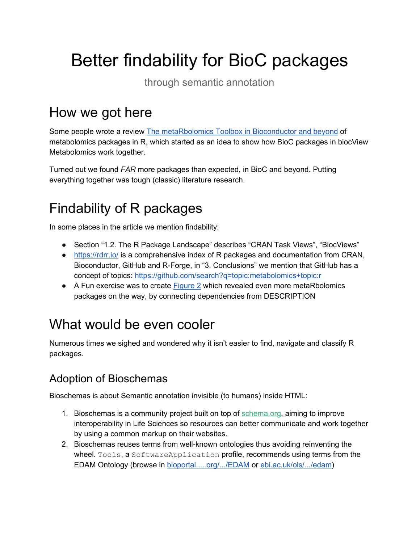# Better findability for BioC packages

through semantic annotation

# How we got here

Some people wrote a review The [metaRbolomics](https://www.mdpi.com/2218-1989/9/10/200) Toolbox in Bioconductor and beyond of metabolomics packages in R, which started as an idea to show how BioC packages in biocView Metabolomics work together.

Turned out we found *FAR* more packages than expected, in BioC and beyond. Putting everything together was tough (classic) literature research.

## Findability of R packages

In some places in the article we mention findability:

- Section "1.2. The R Package Landscape" describes "CRAN Task Views", "BiocViews"
- <https://rdrr.io/> is a comprehensive index of R packages and documentation from CRAN, Bioconductor, GitHub and R-Forge, in "3. Conclusions" we mention that GitHub has a concept of topics: <https://github.com/search?q=topic:metabolomics+topic:r>
- A Fun exercise was to create [Figure](https://rformassspectrometry.github.io/metaRbolomics-book/9902-Appendices-Appendix_2_metaRbolomics_dependencies.html) 2 which revealed even more metaRbolomics packages on the way, by connecting dependencies from DESCRIPTION

### What would be even cooler

Numerous times we sighed and wondered why it isn't easier to find, navigate and classify R packages.

### Adoption of Bioschemas

Bioschemas is about Semantic annotation invisible (to humans) inside HTML:

- 1. Bioschemas is a community project built on top of [schema.org,](https://schema.org/) aiming to improve interoperability in Life Sciences so resources can better communicate and work together by using a common markup on their websites.
- 2. Bioschemas reuses terms from well-known ontologies thus avoiding reinventing the wheel. Tools, a SoftwareApplication profile, recommends using terms from the EDAM Ontology (browse in [bioportal.....org/.../EDAM](http://bioportal.bioontology.org/ontologies/EDAM) or [ebi.ac.uk/ols/.../edam\)](https://www.ebi.ac.uk/ols/ontologies/edam)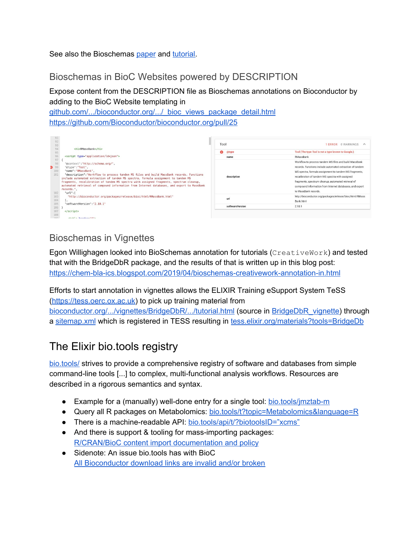See also the Bioschemas [paper](https://scholar.google.com/scholar_lookup?title=Bioschemas:+From+Potato+Salad+to+Protein+Annotation&author=Gray,+A.J.G.&author=Goble,+C.A.&author=Jimenez,+R.&publication_year=2017) and [tutorial.](https://bioschemas.gitbook.io/training-portal/tutorials-1/what-and-why-bioschemas.org)

#### Bioschemas in BioC Websites powered by DESCRIPTION

#### Expose content from the DESCRIPTION file as Bioschemas annotations on Bioconductor by adding to the BioC Website templating in

[github.com/.../bioconductor.org/.../\\_bioc\\_views\\_package\\_detail.html](https://github.com/Bioconductor/bioconductor.org/blob/master/layouts/_bioc_views_package_detail.html) <https://github.com/Bioconductor/bioconductor.org/pull/25>

| AT.      |                                              |  |                    |                                                     |
|----------|----------------------------------------------|--|--------------------|-----------------------------------------------------|
| 92<br>93 |                                              |  | Tool               | 0 WARNINGS<br>ERROR<br>$\wedge$                     |
| 94       | <h1>RMassBank</h1>                           |  |                    |                                                     |
| 95       |                                              |  | $\bullet$<br>@type | Tool (The type Tool is not a type known to Google.) |
| 96       | <script type="application/ld+json"></script> |  |                    |                                                     |

#### Bioschemas in Vignettes

Egon Willighagen looked into BioSchemas annotation for tutorials (CreativeWork) and tested that with the BridgeDbR package, and the results of that is written up in this blog post: <https://chem-bla-ics.blogspot.com/2019/04/bioschemas-creativework-annotation-in.html>

Efforts to start annotation in vignettes allows the ELIXIR Training eSupport System TeSS ([https://tess.oerc.ox.ac.uk](https://tess.oerc.ox.ac.uk/)) to pick up training material from [bioconductor.org/.../vignettes/BridgeDbR/.../tutorial.html](https://bioconductor.org/packages/release/bioc/vignettes/BridgeDbR/inst/doc/tutorial.html) (source in [BridgeDbR\\_vignette\)](https://github.com/bridgedb/BridgeDbR/commit/40e741aed77765572e77f84f9fea0e0fb511d3f0#diff-09a6262bf5d60e373b06191095cf1a18) through a [sitemap.xml](https://raw.githubusercontent.com/BiGCAT-UM/ELIXIR-Tox/master/tutorials/sitemap.xml) which is registered in TESS resulting in [tess.elixir.org/materials?tools=BridgeDb](https://tess.elixir-europe.org/materials?tools=BridgeDb)

### The Elixir bio.tools registry

[bio.tools/](https://bio.tools/) strives to provide a comprehensive registry of software and databases from simple command-line tools [...] to complex, multi-functional analysis workflows. Resources are described in a rigorous semantics and syntax.

- Example for a (manually) well-done entry for a single tool: [bio.tools/jmztab-m](https://bio.tools/jmztab-m)
- Query all R packages on Metabolomics: [bio.tools/t?topic=Metabolomics&language=R](https://bio.tools/t?page=1&topic=Metabolomics&language=R&sort=score)
- There is a machine-readable API: [bio.tools/api/t/?biotoolsID="xcms"](https://bio.tools/api/t/?biotoolsID=%22xcms%22)
- And there is support & tooling for mass-importing packages: R/CRAN/BioC content import [documentation](https://github.com/bio-tools/biotoolsRegistry/issues/454) and policy
- Sidenote: An issue bio.tools has with BioC All [Bioconductor](https://github.com/bio-tools/biotoolsRegistry/issues/425#issuecomment-533003532) download links are invalid and/or broken